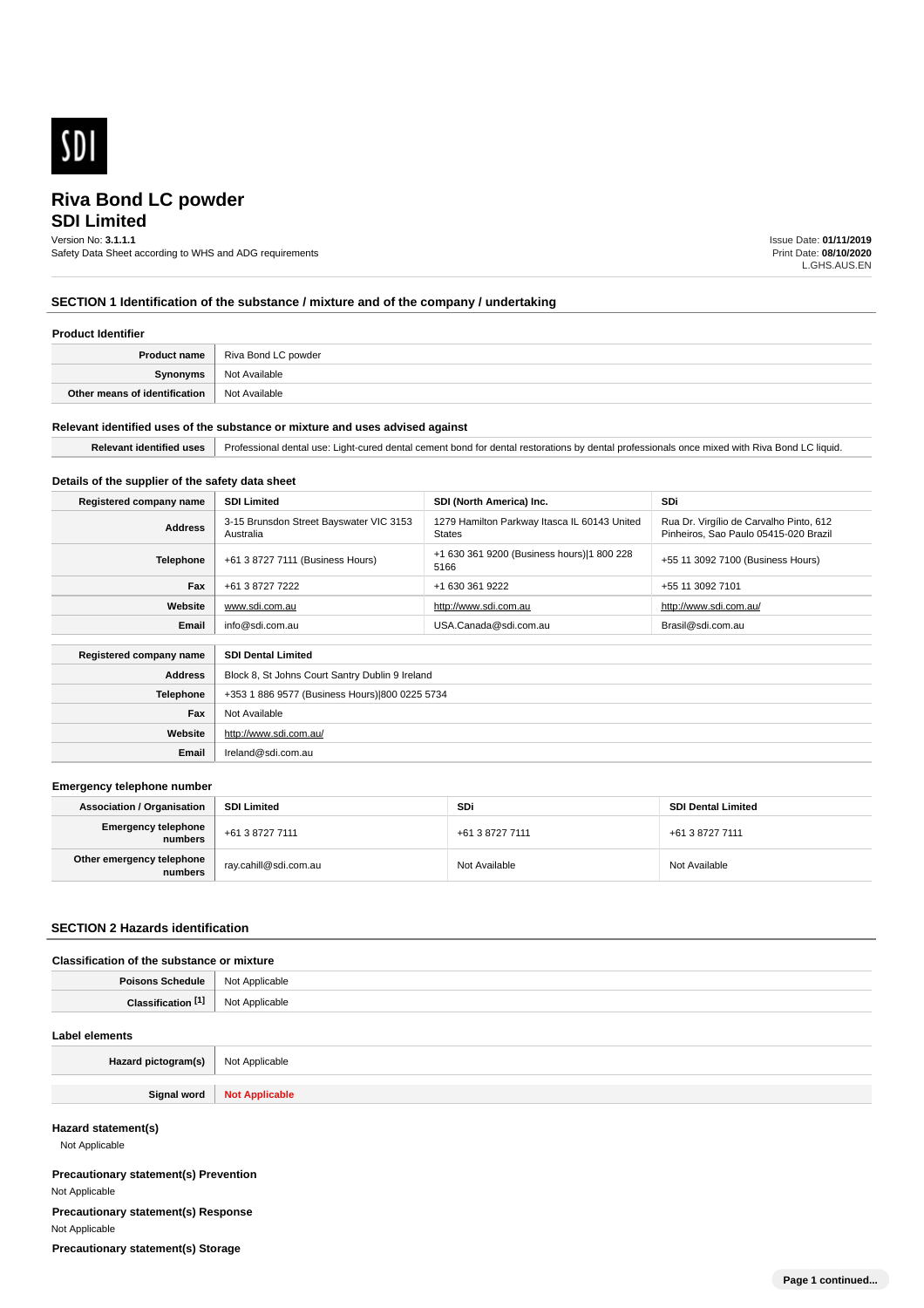

# **SDI Limited**

Version No: **3.1.1.1**

Safety Data Sheet according to WHS and ADG requirements

Issue Date: **01/11/2019** Print Date: **08/10/2020** L.GHS.AUS.EN

# **SECTION 1 Identification of the substance / mixture and of the company / undertaking**

#### **Product Identifier**

| Product name                  | Riva Bond LC powder |
|-------------------------------|---------------------|
| <b>Synonyms</b>               | Not Available       |
| Other means of identification | Not Available       |

#### **Relevant identified uses of the substance or mixture and uses advised against**

**Email** Ireland@sdi.com.au

| ⊔r≙<br>iauic<br>'ant-<br><br>:onr<br>cement<br>aanta<br>.<br>…<br>witr<br>--<br>. <del>.</del><br><br>ueura<br>:5.шанин<br>.<br>. |
|-----------------------------------------------------------------------------------------------------------------------------------|

### **Details of the supplier of the safety data sheet**

| Registered company name                              | <b>SDI Limited</b>                                   | SDI (North America) Inc.                                      | SDi                                                                              |
|------------------------------------------------------|------------------------------------------------------|---------------------------------------------------------------|----------------------------------------------------------------------------------|
| <b>Address</b>                                       | 3-15 Brunsdon Street Bayswater VIC 3153<br>Australia | 1279 Hamilton Parkway Itasca IL 60143 United<br><b>States</b> | Rua Dr. Virgílio de Carvalho Pinto, 612<br>Pinheiros, Sao Paulo 05415-020 Brazil |
| <b>Telephone</b>                                     | +61 3 8727 7111 (Business Hours)                     | +1 630 361 9200 (Business hours) 1 800 228<br>5166            | +55 11 3092 7100 (Business Hours)                                                |
| Fax                                                  | +61 3 8727 7222                                      | +1 630 361 9222                                               | +55 11 3092 7101                                                                 |
| Website                                              | www.sdi.com.au                                       | http://www.sdi.com.au                                         | http://www.sdi.com.au/                                                           |
| Email                                                | info@sdi.com.au<br>USA.Canada@sdi.com.au             |                                                               | Brasil@sdi.com.au                                                                |
| <b>SDI Dental Limited</b><br>Registered company name |                                                      |                                                               |                                                                                  |
| <b>Address</b>                                       | Block 8, St Johns Court Santry Dublin 9 Ireland      |                                                               |                                                                                  |
| <b>Telephone</b>                                     | +353 1 886 9577 (Business Hours) 800 0225 5734       |                                                               |                                                                                  |
| Fax                                                  | Not Available                                        |                                                               |                                                                                  |
| Website                                              | http://www.sdi.com.au/                               |                                                               |                                                                                  |

#### **Emergency telephone number**

| <b>Association / Organisation</b>    | <b>SDI Limited</b>    | <b>SDi</b>      | <b>SDI Dental Limited</b> |
|--------------------------------------|-----------------------|-----------------|---------------------------|
| Emergency telephone<br>numbers       | +61 3 8727 7111       | +61 3 8727 7111 | +61 3 8727 7111           |
| Other emergency telephone<br>numbers | ray.cahill@sdi.com.au | Not Available   | Not Available             |

### **SECTION 2 Hazards identification**

### **Classification of the substance or mixture**

| Poisons<br>Schedule     | <b>Not</b><br>: Applicable<br>. |
|-------------------------|---------------------------------|
| <b>PAN</b><br>Clessific | ilicable                        |

#### **Label elements**

| Hazard pictogram(s) | Not Applicable        |
|---------------------|-----------------------|
|                     |                       |
| Signal word         | <b>Not Applicable</b> |

### **Hazard statement(s)**

Not Applicable

**Precautionary statement(s) Prevention** Not Applicable **Precautionary statement(s) Response** Not Applicable **Precautionary statement(s) Storage**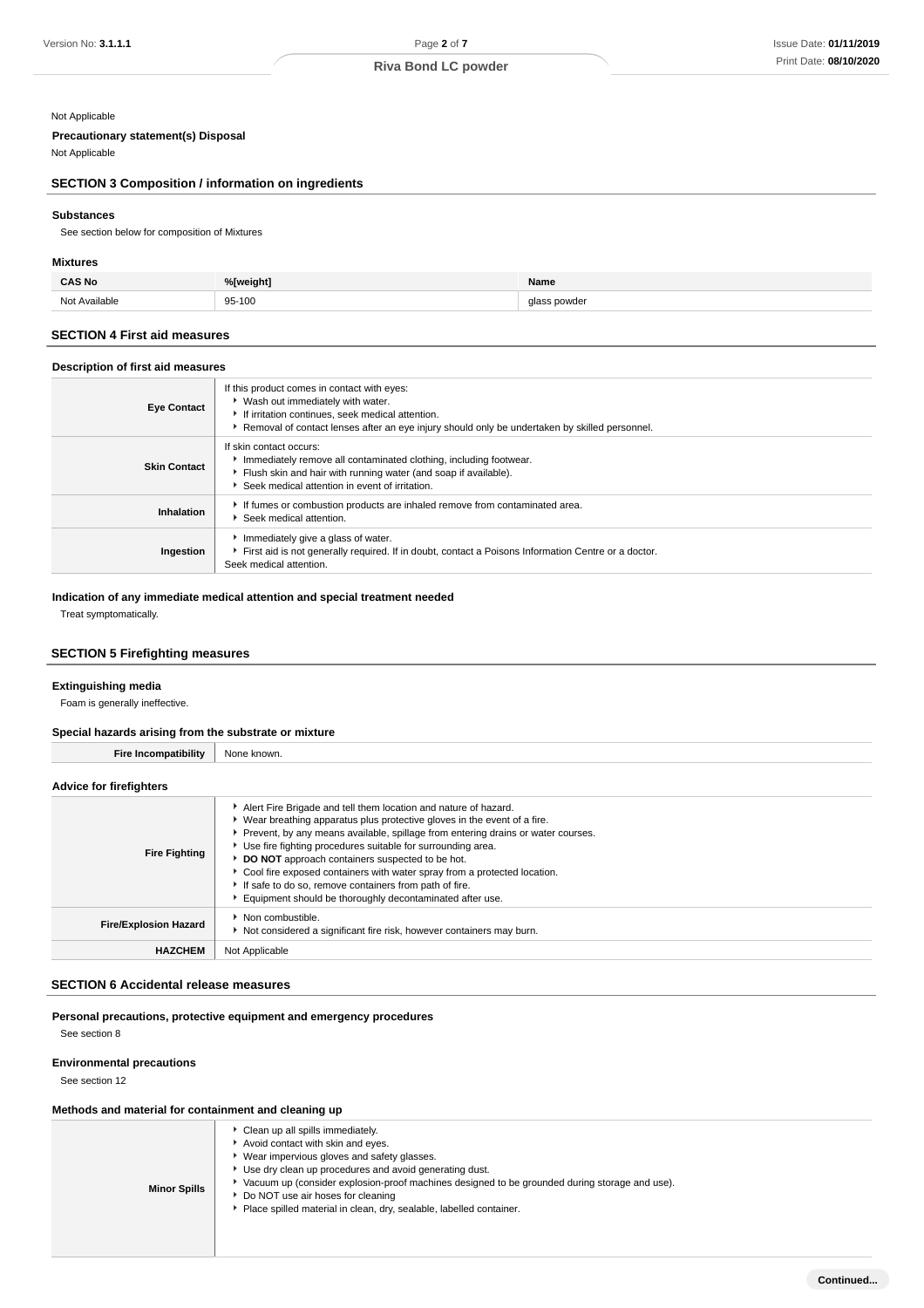## Not Applicable

# **Precautionary statement(s) Disposal**

# **SECTION 3 Composition / information on ingredients**

# **Substances**

### **Mixtures**

| ۸C No                 | %[weight]   | Name          |
|-----------------------|-------------|---------------|
| Not<br>Avoilable<br>. | 95-100<br>. | ا ۱۸/۲۵۱<br>. |

## **SECTION 4 First aid measures**

#### **Description of first aid measures**

| Version No: 3.1.1.1                                          | Page 2 of 7                                                                                                                                                          |              | <b>Issue Date: 01/11/201</b> |
|--------------------------------------------------------------|----------------------------------------------------------------------------------------------------------------------------------------------------------------------|--------------|------------------------------|
|                                                              | <b>Riva Bond LC powder</b>                                                                                                                                           |              | Print Date: 08/10/202        |
|                                                              |                                                                                                                                                                      |              |                              |
| Not Applicable                                               |                                                                                                                                                                      |              |                              |
| <b>Precautionary statement(s) Disposal</b>                   |                                                                                                                                                                      |              |                              |
| Not Applicable                                               |                                                                                                                                                                      |              |                              |
| <b>SECTION 3 Composition / information on ingredients</b>    |                                                                                                                                                                      |              |                              |
| <b>Substances</b>                                            |                                                                                                                                                                      |              |                              |
| See section below for composition of Mixtures                |                                                                                                                                                                      |              |                              |
| <b>Mixtures</b>                                              |                                                                                                                                                                      |              |                              |
| <b>CAS No</b>                                                | %[weight]                                                                                                                                                            | Name         |                              |
| Not Available                                                | 95-100                                                                                                                                                               | glass powder |                              |
| <b>SECTION 4 First aid measures</b>                          |                                                                                                                                                                      |              |                              |
| Description of first aid measures                            |                                                                                                                                                                      |              |                              |
|                                                              | If this product comes in contact with eyes:                                                                                                                          |              |                              |
| <b>Eye Contact</b>                                           | ▶ Wash out immediately with water.<br>If irritation continues, seek medical attention.                                                                               |              |                              |
|                                                              | ▶ Removal of contact lenses after an eye injury should only be undertaken by skilled personnel.                                                                      |              |                              |
|                                                              | If skin contact occurs:<br>Immediately remove all contaminated clothing, including footwear.                                                                         |              |                              |
| <b>Skin Contact</b>                                          | Flush skin and hair with running water (and soap if available).                                                                                                      |              |                              |
|                                                              | Seek medical attention in event of irritation.<br>If fumes or combustion products are inhaled remove from contaminated area.                                         |              |                              |
| Inhalation                                                   | Seek medical attention.                                                                                                                                              |              |                              |
| Ingestion                                                    | Immediately give a glass of water.<br>First aid is not generally required. If in doubt, contact a Poisons Information Centre or a doctor.<br>Seek medical attention. |              |                              |
| <b>Extinguishing media</b><br>Foam is generally ineffective. |                                                                                                                                                                      |              |                              |
|                                                              |                                                                                                                                                                      |              |                              |
| Special hazards arising from the substrate or mixture        |                                                                                                                                                                      |              |                              |
| <b>Fire Incompatibility</b>                                  | None known.                                                                                                                                                          |              |                              |
| <b>Advice for firefighters</b>                               |                                                                                                                                                                      |              |                              |
|                                                              | Alert Fire Brigade and tell them location and nature of hazard.                                                                                                      |              |                              |
|                                                              | • Wear breathing apparatus plus protective gloves in the event of a fire.<br>Prevent, by any means available, spillage from entering drains or water courses.        |              |                              |
| <b>Fire Fighting</b>                                         | Use fire fighting procedures suitable for surrounding area.                                                                                                          |              |                              |
|                                                              | DO NOT approach containers suspected to be hot.<br>Cool fire exposed containers with water spray from a protected location.                                          |              |                              |
|                                                              | If safe to do so, remove containers from path of fire.                                                                                                               |              |                              |
|                                                              | Equipment should be thoroughly decontaminated after use.<br>Non combustible.                                                                                         |              |                              |
| <b>Fire/Explosion Hazard</b>                                 | Not considered a significant fire risk, however containers may burn.                                                                                                 |              |                              |
| <b>HAZCHEM</b>                                               | Not Applicable                                                                                                                                                       |              |                              |
| <b>SECTION 6 Accidental release measures</b>                 |                                                                                                                                                                      |              |                              |
|                                                              |                                                                                                                                                                      |              |                              |
| See section 8                                                | Personal precautions, protective equipment and emergency procedures                                                                                                  |              |                              |
|                                                              |                                                                                                                                                                      |              |                              |
| <b>Environmental precautions</b><br>See section 12           |                                                                                                                                                                      |              |                              |
|                                                              |                                                                                                                                                                      |              |                              |
| Methods and material for containment and cleaning up         | Clean up all spills immediately.                                                                                                                                     |              |                              |
|                                                              | Avoid contact with skin and eyes.                                                                                                                                    |              |                              |
|                                                              | * Wear impervious gloves and safety glasses.<br>Use dry clean up procedures and avoid generating dust.                                                               |              |                              |
|                                                              | ▶ Vacuum up (consider explosion-proof machines designed to be grounded during storage and use).                                                                      |              |                              |
| <b>Minor Spills</b>                                          | Do NOT use air hoses for cleaning<br>Place spilled material in clean, dry, sealable, labelled container.                                                             |              |                              |

#### **Indication of any immediate medical attention and special treatment needed**

# **SECTION 5 Firefighting measures**

#### **Extinguishing media**

#### **Special hazards arising from the substrate or mixture**

# **Advice for firefighters**

| <b>Fire Fighting</b>         | Alert Fire Brigade and tell them location and nature of hazard.<br>▶ Wear breathing apparatus plus protective gloves in the event of a fire.<br>Prevent, by any means available, spillage from entering drains or water courses.<br>Use fire fighting procedures suitable for surrounding area.<br>DO NOT approach containers suspected to be hot.<br>▶ Cool fire exposed containers with water spray from a protected location.<br>If safe to do so, remove containers from path of fire.<br>Equipment should be thoroughly decontaminated after use. |
|------------------------------|--------------------------------------------------------------------------------------------------------------------------------------------------------------------------------------------------------------------------------------------------------------------------------------------------------------------------------------------------------------------------------------------------------------------------------------------------------------------------------------------------------------------------------------------------------|
| <b>Fire/Explosion Hazard</b> | Non combustible.<br>Not considered a significant fire risk, however containers may burn.                                                                                                                                                                                                                                                                                                                                                                                                                                                               |
| <b>HAZCHEM</b>               | Not Applicable                                                                                                                                                                                                                                                                                                                                                                                                                                                                                                                                         |

### **SECTION 6 Accidental release measures**

### **Environmental precautions**

### **Methods and material for containment and cleaning up**

| <b>Minor Spills</b> | Clean up all spills immediately.<br>Avoid contact with skin and eyes.<br>Wear impervious gloves and safety glasses.<br>Use dry clean up procedures and avoid generating dust.<br>Vacuum up (consider explosion-proof machines designed to be grounded during storage and use).<br>▶ Do NOT use air hoses for cleaning<br>Place spilled material in clean, dry, sealable, labelled container. |
|---------------------|----------------------------------------------------------------------------------------------------------------------------------------------------------------------------------------------------------------------------------------------------------------------------------------------------------------------------------------------------------------------------------------------|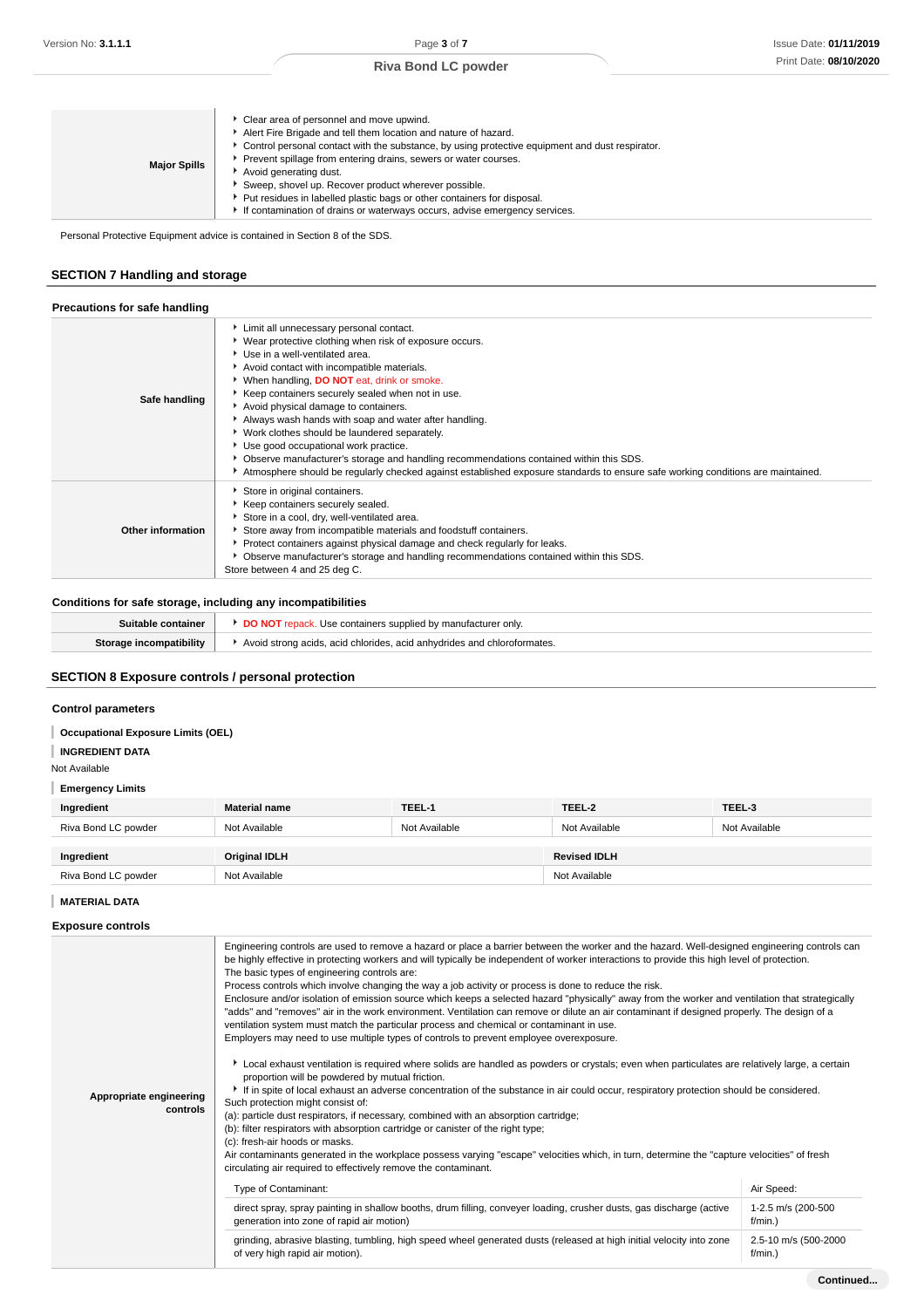| Clear area of personnel and move upwind.<br>Alert Fire Brigade and tell them location and nature of hazard.<br>▶ Control personal contact with the substance, by using protective equipment and dust respirator.<br>Prevent spillage from entering drains, sewers or water courses.<br><b>Major Spills</b><br>Avoid generating dust.<br>Sweep, shovel up. Recover product wherever possible.<br>▶ Put residues in labelled plastic bags or other containers for disposal.<br>If contamination of drains or waterways occurs, advise emergency services. |  |
|---------------------------------------------------------------------------------------------------------------------------------------------------------------------------------------------------------------------------------------------------------------------------------------------------------------------------------------------------------------------------------------------------------------------------------------------------------------------------------------------------------------------------------------------------------|--|
|---------------------------------------------------------------------------------------------------------------------------------------------------------------------------------------------------------------------------------------------------------------------------------------------------------------------------------------------------------------------------------------------------------------------------------------------------------------------------------------------------------------------------------------------------------|--|

Personal Protective Equipment advice is contained in Section 8 of the SDS.

# **SECTION 7 Handling and storage**

| Precautions for safe handling |                                                                                                                                                                                                                                                                                                                                                                                                                                                                                                                                                                                                                                                                                                                   |
|-------------------------------|-------------------------------------------------------------------------------------------------------------------------------------------------------------------------------------------------------------------------------------------------------------------------------------------------------------------------------------------------------------------------------------------------------------------------------------------------------------------------------------------------------------------------------------------------------------------------------------------------------------------------------------------------------------------------------------------------------------------|
| Safe handling                 | Limit all unnecessary personal contact.<br>▶ Wear protective clothing when risk of exposure occurs.<br>Use in a well-ventilated area.<br>Avoid contact with incompatible materials.<br>▶ When handling, DO NOT eat, drink or smoke.<br>Keep containers securely sealed when not in use.<br>Avoid physical damage to containers.<br>Always wash hands with soap and water after handling.<br>▶ Work clothes should be laundered separately.<br>Use good occupational work practice.<br>▶ Observe manufacturer's storage and handling recommendations contained within this SDS.<br>Atmosphere should be regularly checked against established exposure standards to ensure safe working conditions are maintained. |
| Other information             | Store in original containers.<br>Keep containers securely sealed.<br>Store in a cool, dry, well-ventilated area.<br>Store away from incompatible materials and foodstuff containers.<br>▶ Protect containers against physical damage and check regularly for leaks.<br>• Observe manufacturer's storage and handling recommendations contained within this SDS.<br>Store between 4 and 25 deg C.                                                                                                                                                                                                                                                                                                                  |

# **Conditions for safe storage, including any incompatibilities**

| Suitable container      | <b>DO NOT</b> repack. Use containers supplied by manufacturer only.     |
|-------------------------|-------------------------------------------------------------------------|
| Storage incompatibility | Avoid strong acids, acid chlorides, acid anhydrides and chloroformates. |
|                         |                                                                         |

# **SECTION 8 Exposure controls / personal protection**

# **Control parameters**

# **Occupational Exposure Limits (OEL)**

**INGREDIENT DATA**

### Not Available

# **Emergency Limits**

| Ingredient          | <b>Material name</b> | TEEL-1        | TEEL-2              | TEEL-3        |
|---------------------|----------------------|---------------|---------------------|---------------|
| Riva Bond LC powder | Not Available        | Not Available | Not Available       | Not Available |
| Ingredient          | <b>Original IDLH</b> |               | <b>Revised IDLH</b> |               |
| Riva Bond LC powder | Not Available        |               | Not Available       |               |

### **MATERIAL DATA**

**Exposure controls**

|                                     | Engineering controls are used to remove a hazard or place a barrier between the worker and the hazard. Well-designed engineering controls can<br>be highly effective in protecting workers and will typically be independent of worker interactions to provide this high level of protection.<br>The basic types of engineering controls are:<br>Process controls which involve changing the way a job activity or process is done to reduce the risk.<br>Enclosure and/or isolation of emission source which keeps a selected hazard "physically" away from the worker and ventilation that strategically<br>"adds" and "removes" air in the work environment. Ventilation can remove or dilute an air contaminant if designed properly. The design of a<br>ventilation system must match the particular process and chemical or contaminant in use.<br>Employers may need to use multiple types of controls to prevent employee overexposure. |                                  |  |  |
|-------------------------------------|-------------------------------------------------------------------------------------------------------------------------------------------------------------------------------------------------------------------------------------------------------------------------------------------------------------------------------------------------------------------------------------------------------------------------------------------------------------------------------------------------------------------------------------------------------------------------------------------------------------------------------------------------------------------------------------------------------------------------------------------------------------------------------------------------------------------------------------------------------------------------------------------------------------------------------------------------|----------------------------------|--|--|
| Appropriate engineering<br>controls | Local exhaust ventilation is required where solids are handled as powders or crystals; even when particulates are relatively large, a certain<br>proportion will be powdered by mutual friction.<br>If in spite of local exhaust an adverse concentration of the substance in air could occur, respiratory protection should be considered.<br>Such protection might consist of:<br>(a): particle dust respirators, if necessary, combined with an absorption cartridge;                                                                                                                                                                                                                                                                                                                                                                                                                                                                        |                                  |  |  |
|                                     | (b): filter respirators with absorption cartridge or canister of the right type;<br>(c): fresh-air hoods or masks.<br>Air contaminants generated in the workplace possess varying "escape" velocities which, in turn, determine the "capture velocities" of fresh<br>circulating air required to effectively remove the contaminant.                                                                                                                                                                                                                                                                                                                                                                                                                                                                                                                                                                                                            |                                  |  |  |
|                                     | Type of Contaminant:                                                                                                                                                                                                                                                                                                                                                                                                                                                                                                                                                                                                                                                                                                                                                                                                                                                                                                                            | Air Speed:                       |  |  |
|                                     | direct spray, spray painting in shallow booths, drum filling, conveyer loading, crusher dusts, gas discharge (active<br>generation into zone of rapid air motion)                                                                                                                                                                                                                                                                                                                                                                                                                                                                                                                                                                                                                                                                                                                                                                               | 1-2.5 m/s (200-500<br>$f/min.$ ) |  |  |
|                                     | grinding, abrasive blasting, tumbling, high speed wheel generated dusts (released at high initial velocity into zone<br>of very high rapid air motion).                                                                                                                                                                                                                                                                                                                                                                                                                                                                                                                                                                                                                                                                                                                                                                                         | 2.5-10 m/s (500-2000<br>f/min.)  |  |  |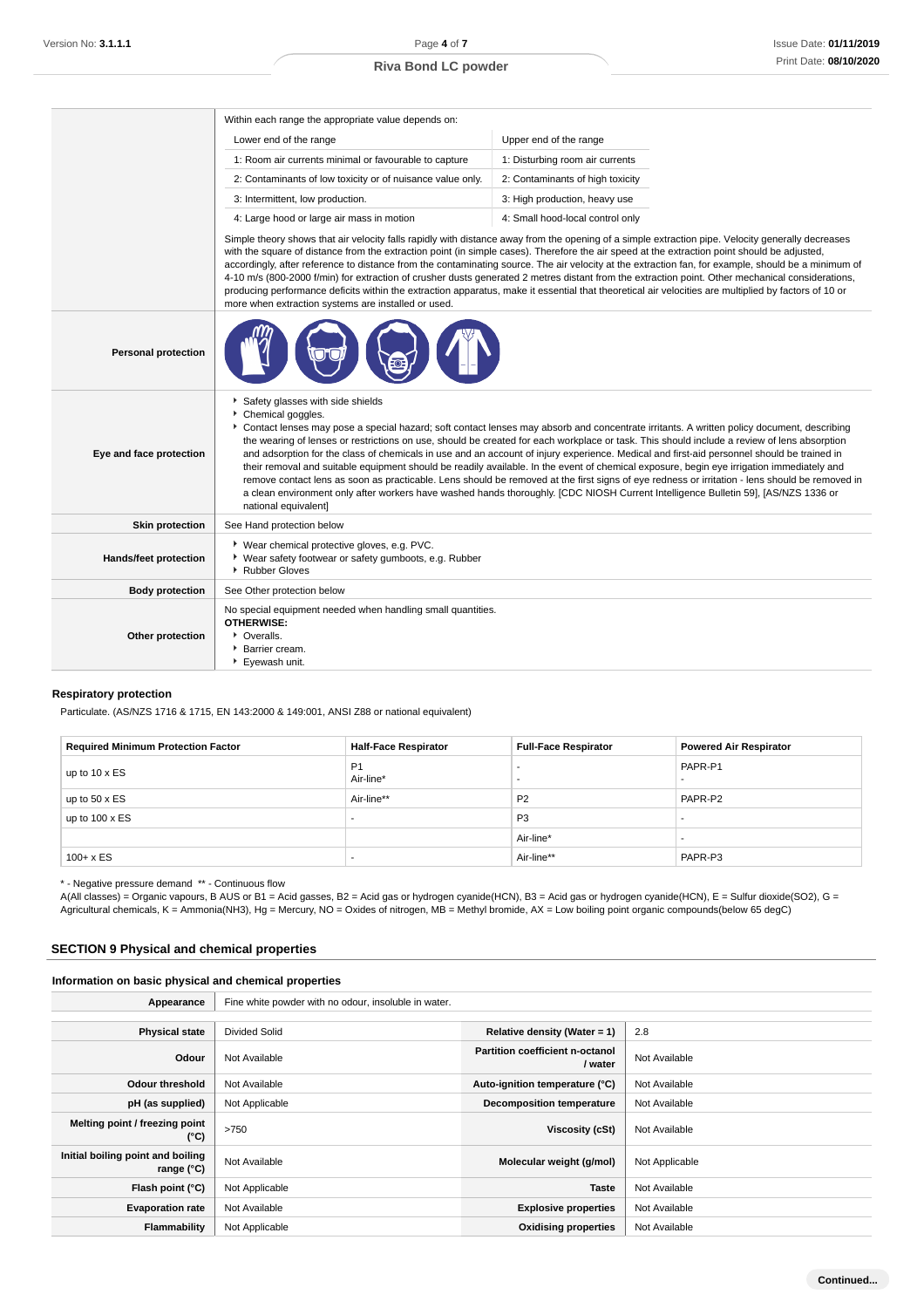|                              | Within each range the appropriate value depends on:                                                                                                                                                                                                                                                                                                                                                                                                                                                                                                                                                                                                                                                                                                                                                                                                                                                                                                          |                                  |  |
|------------------------------|--------------------------------------------------------------------------------------------------------------------------------------------------------------------------------------------------------------------------------------------------------------------------------------------------------------------------------------------------------------------------------------------------------------------------------------------------------------------------------------------------------------------------------------------------------------------------------------------------------------------------------------------------------------------------------------------------------------------------------------------------------------------------------------------------------------------------------------------------------------------------------------------------------------------------------------------------------------|----------------------------------|--|
|                              | Lower end of the range                                                                                                                                                                                                                                                                                                                                                                                                                                                                                                                                                                                                                                                                                                                                                                                                                                                                                                                                       | Upper end of the range           |  |
|                              | 1: Room air currents minimal or favourable to capture                                                                                                                                                                                                                                                                                                                                                                                                                                                                                                                                                                                                                                                                                                                                                                                                                                                                                                        | 1: Disturbing room air currents  |  |
|                              | 2: Contaminants of low toxicity or of nuisance value only.                                                                                                                                                                                                                                                                                                                                                                                                                                                                                                                                                                                                                                                                                                                                                                                                                                                                                                   | 2: Contaminants of high toxicity |  |
|                              | 3: Intermittent, low production.                                                                                                                                                                                                                                                                                                                                                                                                                                                                                                                                                                                                                                                                                                                                                                                                                                                                                                                             | 3: High production, heavy use    |  |
|                              | 4: Large hood or large air mass in motion                                                                                                                                                                                                                                                                                                                                                                                                                                                                                                                                                                                                                                                                                                                                                                                                                                                                                                                    | 4: Small hood-local control only |  |
|                              | Simple theory shows that air velocity falls rapidly with distance away from the opening of a simple extraction pipe. Velocity generally decreases<br>with the square of distance from the extraction point (in simple cases). Therefore the air speed at the extraction point should be adjusted,<br>accordingly, after reference to distance from the contaminating source. The air velocity at the extraction fan, for example, should be a minimum of<br>4-10 m/s (800-2000 f/min) for extraction of crusher dusts generated 2 metres distant from the extraction point. Other mechanical considerations,<br>producing performance deficits within the extraction apparatus, make it essential that theoretical air velocities are multiplied by factors of 10 or<br>more when extraction systems are installed or used.                                                                                                                                  |                                  |  |
| <b>Personal protection</b>   |                                                                                                                                                                                                                                                                                                                                                                                                                                                                                                                                                                                                                                                                                                                                                                                                                                                                                                                                                              |                                  |  |
| Eye and face protection      | Safety glasses with side shields<br>Chemical goggles.<br>Contact lenses may pose a special hazard; soft contact lenses may absorb and concentrate irritants. A written policy document, describing<br>the wearing of lenses or restrictions on use, should be created for each workplace or task. This should include a review of lens absorption<br>and adsorption for the class of chemicals in use and an account of injury experience. Medical and first-aid personnel should be trained in<br>their removal and suitable equipment should be readily available. In the event of chemical exposure, begin eye irrigation immediately and<br>remove contact lens as soon as practicable. Lens should be removed at the first signs of eye redness or irritation - lens should be removed in<br>a clean environment only after workers have washed hands thoroughly. [CDC NIOSH Current Intelligence Bulletin 59], [AS/NZS 1336 or<br>national equivalent] |                                  |  |
| <b>Skin protection</b>       | See Hand protection below                                                                                                                                                                                                                                                                                                                                                                                                                                                                                                                                                                                                                                                                                                                                                                                                                                                                                                                                    |                                  |  |
| <b>Hands/feet protection</b> | ▶ Wear chemical protective gloves, e.g. PVC.<br>• Wear safety footwear or safety gumboots, e.g. Rubber<br>▶ Rubber Gloves                                                                                                                                                                                                                                                                                                                                                                                                                                                                                                                                                                                                                                                                                                                                                                                                                                    |                                  |  |
| <b>Body protection</b>       | See Other protection below                                                                                                                                                                                                                                                                                                                                                                                                                                                                                                                                                                                                                                                                                                                                                                                                                                                                                                                                   |                                  |  |
| Other protection             | No special equipment needed when handling small quantities.<br><b>OTHERWISE:</b><br>• Overalls.<br>▶ Barrier cream.<br>▶ Evewash unit.                                                                                                                                                                                                                                                                                                                                                                                                                                                                                                                                                                                                                                                                                                                                                                                                                       |                                  |  |

# **Respiratory protection**

Particulate. (AS/NZS 1716 & 1715, EN 143:2000 & 149:001, ANSI Z88 or national equivalent)

| <b>Required Minimum Protection Factor</b> | <b>Half-Face Respirator</b> | <b>Full-Face Respirator</b> | <b>Powered Air Respirator</b> |
|-------------------------------------------|-----------------------------|-----------------------------|-------------------------------|
| up to $10 \times ES$                      | P <sub>1</sub><br>Air-line* | ٠<br>-                      | PAPR-P1                       |
| up to $50 \times ES$                      | Air-line**                  | P <sub>2</sub>              | PAPR-P2                       |
| up to $100 \times ES$                     | . .                         | P <sub>3</sub>              | -                             |
|                                           |                             | Air-line*                   |                               |
| $100 + x ES$                              | . .                         | Air-line**                  | PAPR-P3                       |

\* - Negative pressure demand \*\* - Continuous flow

A(All classes) = Organic vapours, B AUS or B1 = Acid gasses, B2 = Acid gas or hydrogen cyanide(HCN), B3 = Acid gas or hydrogen cyanide(HCN), E = Sulfur dioxide(SO2), G = Agricultural chemicals, K = Ammonia(NH3), Hg = Mercury, NO = Oxides of nitrogen, MB = Methyl bromide, AX = Low boiling point organic compounds(below 65 degC)

### **SECTION 9 Physical and chemical properties**

## **Information on basic physical and chemical properties**

| Appearance                                               | Fine white powder with no odour, insoluble in water. |                                                   |                |
|----------------------------------------------------------|------------------------------------------------------|---------------------------------------------------|----------------|
|                                                          |                                                      |                                                   |                |
| <b>Physical state</b>                                    | <b>Divided Solid</b>                                 | Relative density (Water = $1$ )                   | 2.8            |
| Odour                                                    | Not Available                                        | <b>Partition coefficient n-octanol</b><br>/ water | Not Available  |
| <b>Odour threshold</b>                                   | Not Available                                        | Auto-ignition temperature (°C)                    | Not Available  |
| pH (as supplied)                                         | Not Applicable                                       | <b>Decomposition temperature</b>                  | Not Available  |
| Melting point / freezing point<br>(°C)                   | >750                                                 | Viscosity (cSt)                                   | Not Available  |
| Initial boiling point and boiling<br>range $(^{\circ}C)$ | Not Available                                        | Molecular weight (g/mol)                          | Not Applicable |
| Flash point (°C)                                         | Not Applicable                                       | <b>Taste</b>                                      | Not Available  |
| <b>Evaporation rate</b>                                  | Not Available                                        | <b>Explosive properties</b>                       | Not Available  |
| Flammability                                             | Not Applicable                                       | <b>Oxidising properties</b>                       | Not Available  |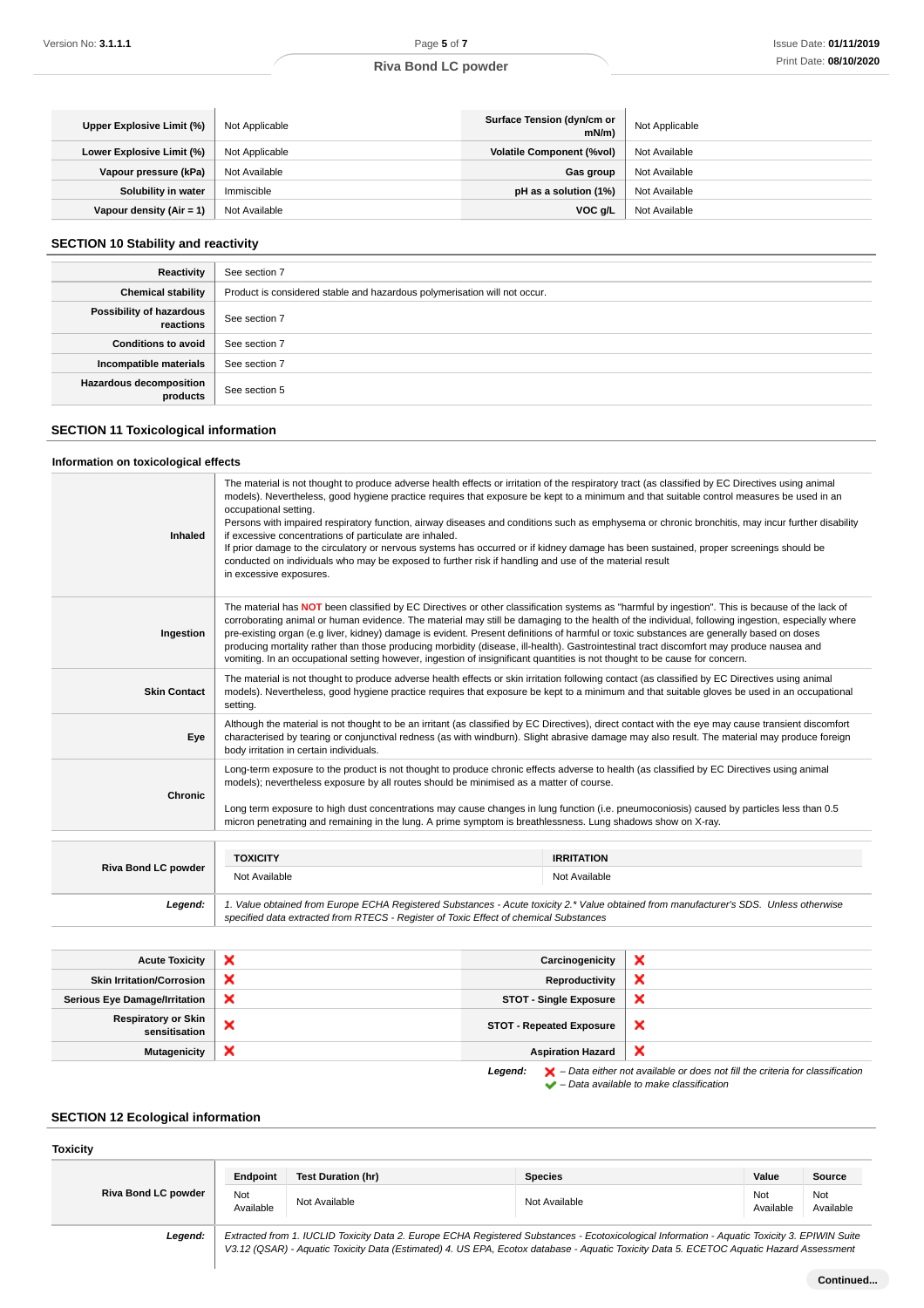| Upper Explosive Limit (%)   | Not Applicable | Surface Tension (dyn/cm or<br>mN/m | Not Applicable |
|-----------------------------|----------------|------------------------------------|----------------|
| Lower Explosive Limit (%)   | Not Applicable | <b>Volatile Component (%vol)</b>   | Not Available  |
| Vapour pressure (kPa)       | Not Available  | Gas group                          | Not Available  |
| Solubility in water         | Immiscible     | pH as a solution (1%)              | Not Available  |
| Vapour density (Air = $1$ ) | Not Available  | VOC a/L                            | Not Available  |

# **SECTION 10 Stability and reactivity**

| Reactivity                                 | See section 7                                                             |
|--------------------------------------------|---------------------------------------------------------------------------|
| <b>Chemical stability</b>                  | Product is considered stable and hazardous polymerisation will not occur. |
| Possibility of hazardous<br>reactions      | See section 7                                                             |
| <b>Conditions to avoid</b>                 | See section 7                                                             |
| Incompatible materials                     | See section 7                                                             |
| <b>Hazardous decomposition</b><br>products | See section 5                                                             |

# **SECTION 11 Toxicological information**

### **Information on toxicological effects**

| Legend:             | 1. Value obtained from Europe ECHA Registered Substances - Acute toxicity 2.* Value obtained from manufacturer's SDS. Unless otherwise<br>specified data extracted from RTECS - Register of Toxic Effect of chemical Substances                                                                                                                                                                                                                                                                                                                                                                                                                                                                                                                                                                                       |                   |  |
|---------------------|-----------------------------------------------------------------------------------------------------------------------------------------------------------------------------------------------------------------------------------------------------------------------------------------------------------------------------------------------------------------------------------------------------------------------------------------------------------------------------------------------------------------------------------------------------------------------------------------------------------------------------------------------------------------------------------------------------------------------------------------------------------------------------------------------------------------------|-------------------|--|
| Riva Bond LC powder | Not Available                                                                                                                                                                                                                                                                                                                                                                                                                                                                                                                                                                                                                                                                                                                                                                                                         | Not Available     |  |
|                     | <b>TOXICITY</b>                                                                                                                                                                                                                                                                                                                                                                                                                                                                                                                                                                                                                                                                                                                                                                                                       | <b>IRRITATION</b> |  |
|                     | Long term exposure to high dust concentrations may cause changes in lung function (i.e. pneumoconiosis) caused by particles less than 0.5<br>micron penetrating and remaining in the lung. A prime symptom is breathlessness. Lung shadows show on X-ray.                                                                                                                                                                                                                                                                                                                                                                                                                                                                                                                                                             |                   |  |
| <b>Chronic</b>      | Long-term exposure to the product is not thought to produce chronic effects adverse to health (as classified by EC Directives using animal<br>models); nevertheless exposure by all routes should be minimised as a matter of course.                                                                                                                                                                                                                                                                                                                                                                                                                                                                                                                                                                                 |                   |  |
| Eye                 | Although the material is not thought to be an irritant (as classified by EC Directives), direct contact with the eye may cause transient discomfort<br>characterised by tearing or conjunctival redness (as with windburn). Slight abrasive damage may also result. The material may produce foreign<br>body irritation in certain individuals.                                                                                                                                                                                                                                                                                                                                                                                                                                                                       |                   |  |
| <b>Skin Contact</b> | The material is not thought to produce adverse health effects or skin irritation following contact (as classified by EC Directives using animal<br>models). Nevertheless, good hygiene practice requires that exposure be kept to a minimum and that suitable gloves be used in an occupational<br>setting.                                                                                                                                                                                                                                                                                                                                                                                                                                                                                                           |                   |  |
| Ingestion           | The material has NOT been classified by EC Directives or other classification systems as "harmful by ingestion". This is because of the lack of<br>corroborating animal or human evidence. The material may still be damaging to the health of the individual, following ingestion, especially where<br>pre-existing organ (e.g liver, kidney) damage is evident. Present definitions of harmful or toxic substances are generally based on doses<br>producing mortality rather than those producing morbidity (disease, ill-health). Gastrointestinal tract discomfort may produce nausea and<br>vomiting. In an occupational setting however, ingestion of insignificant quantities is not thought to be cause for concern.                                                                                         |                   |  |
| <b>Inhaled</b>      | The material is not thought to produce adverse health effects or irritation of the respiratory tract (as classified by EC Directives using animal<br>models). Nevertheless, good hygiene practice requires that exposure be kept to a minimum and that suitable control measures be used in an<br>occupational setting.<br>Persons with impaired respiratory function, airway diseases and conditions such as emphysema or chronic bronchitis, may incur further disability<br>if excessive concentrations of particulate are inhaled.<br>If prior damage to the circulatory or nervous systems has occurred or if kidney damage has been sustained, proper screenings should be<br>conducted on individuals who may be exposed to further risk if handling and use of the material result<br>in excessive exposures. |                   |  |

| <b>Acute Toxicity</b>                       |                           | Carcinogenicity                 | $\mathbf x$                                                                                                                                                         |
|---------------------------------------------|---------------------------|---------------------------------|---------------------------------------------------------------------------------------------------------------------------------------------------------------------|
| <b>Skin Irritation/Corrosion</b>            | ×                         | Reproductivity                  | ×                                                                                                                                                                   |
| <b>Serious Eye Damage/Irritation</b>        | ×                         | <b>STOT - Single Exposure</b>   | $\boldsymbol{\mathsf{x}}$                                                                                                                                           |
| <b>Respiratory or Skin</b><br>sensitisation | ×                         | <b>STOT - Repeated Exposure</b> | $\boldsymbol{\mathsf{x}}$                                                                                                                                           |
| <b>Mutagenicity</b>                         | $\boldsymbol{\mathsf{x}}$ | <b>Aspiration Hazard</b>        | $\boldsymbol{\times}$                                                                                                                                               |
|                                             |                           | Legend:                         | $\blacktriangleright$ - Data either not available or does not fill the criteria for classification<br>$\blacktriangleright$ - Data available to make classification |

# **SECTION 12 Ecological information**

# **Toxicity**

|                            | Endpoint                                                                                                                                    | Test Duration (hr) | Species       | Value            | Source           |
|----------------------------|---------------------------------------------------------------------------------------------------------------------------------------------|--------------------|---------------|------------------|------------------|
| <b>Riva Bond LC powder</b> | Not<br>Available                                                                                                                            | Not Available      | Not Available | Not<br>Available | Not<br>Available |
| oggand:                    | Extracted from 1 ILICUD Toxicity Data 2 Europe ECHA Peqistered Substances - Ecotoxicological Information - Aquatic Toxicity 3 EDIM/IN Suite |                    |               |                  |                  |

**Legend:** Extracted from 1. IUCLID Toxicity Data 2. Europe ECHA Registered Substances - Ecotoxicological Information - Aquatic Toxicity 3. EPIWIN Suite V3.12 (QSAR) - Aquatic Toxicity Data (Estimated) 4. US EPA, Ecotox database - Aquatic Toxicity Data 5. ECETOC Aquatic Hazard Assessment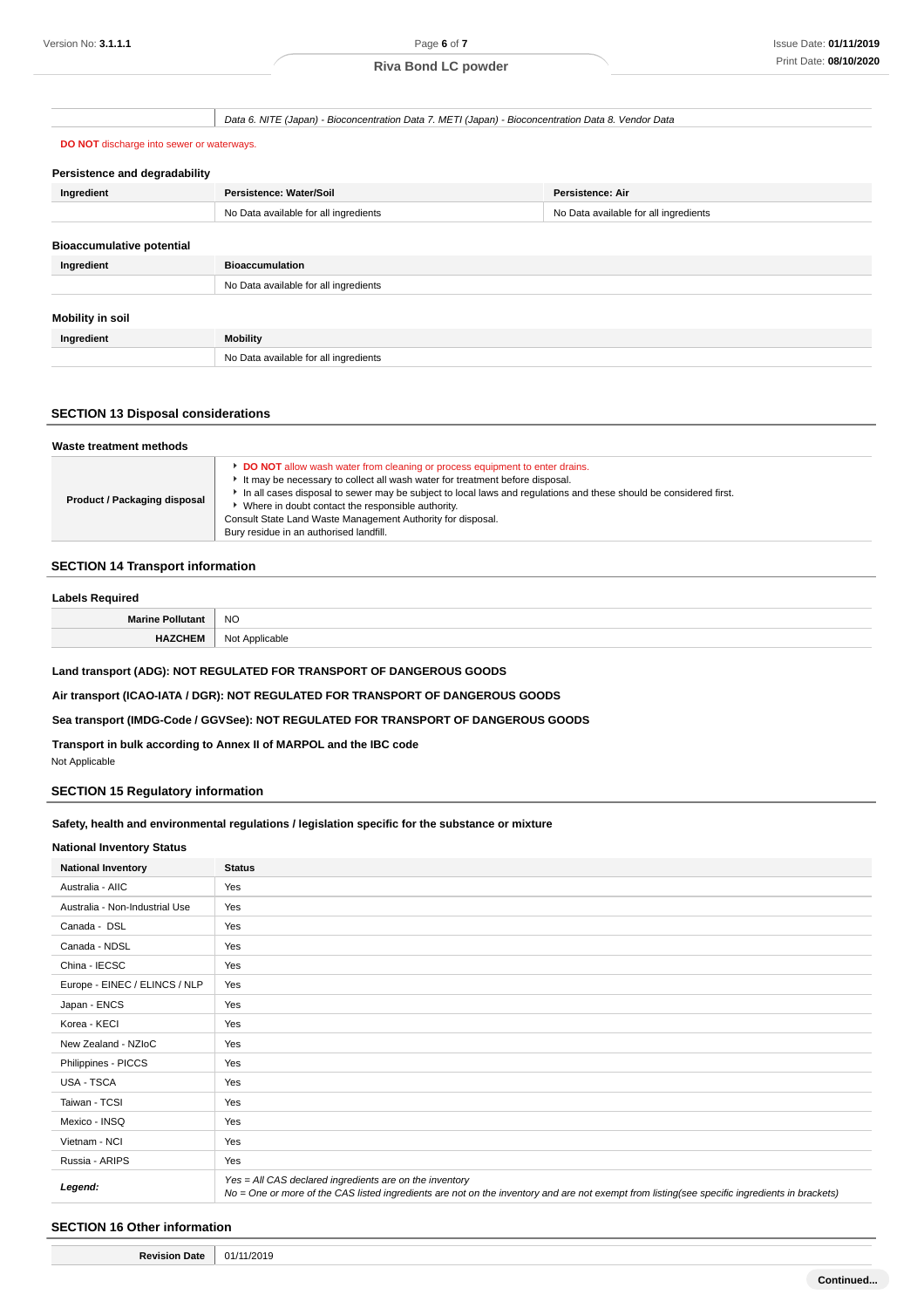Data 6. NITE (Japan) - Bioconcentration Data 7. METI (Japan) - Bioconcentration Data 8. Vendor Data

#### **DO NOT** discharge into sewer or waterways.

| Persistence and degradability    |                                       |                                       |  |  |
|----------------------------------|---------------------------------------|---------------------------------------|--|--|
| Ingredient                       | Persistence: Water/Soil               | Persistence: Air                      |  |  |
|                                  | No Data available for all ingredients | No Data available for all ingredients |  |  |
|                                  |                                       |                                       |  |  |
| <b>Bioaccumulative potential</b> |                                       |                                       |  |  |
| Ingredient                       | <b>Bioaccumulation</b>                |                                       |  |  |
|                                  | No Data available for all ingredients |                                       |  |  |
|                                  |                                       |                                       |  |  |
| Mobility in soil                 |                                       |                                       |  |  |
| Ingredient                       | <b>Mobility</b>                       |                                       |  |  |
|                                  | No Data available for all ingredients |                                       |  |  |

#### **SECTION 13 Disposal considerations**

#### **Waste treatment methods Product / Packaging disposal DO NOT** allow wash water from cleaning or process equipment to enter drains. It may be necessary to collect all wash water for treatment before disposal. In all cases disposal to sewer may be subject to local laws and regulations and these should be considered first. Where in doubt contact the responsible authority. Consult State Land Waste Management Authority for disposal. Bury residue in an authorised landfill.

#### **SECTION 14 Transport information**

### **Labels Required**

| NC.   |
|-------|
| 000an |

**Land transport (ADG): NOT REGULATED FOR TRANSPORT OF DANGEROUS GOODS**

**Air transport (ICAO-IATA / DGR): NOT REGULATED FOR TRANSPORT OF DANGEROUS GOODS**

**Sea transport (IMDG-Code / GGVSee): NOT REGULATED FOR TRANSPORT OF DANGEROUS GOODS**

**Transport in bulk according to Annex II of MARPOL and the IBC code**

Not Applicable

# **SECTION 15 Regulatory information**

# **Safety, health and environmental regulations / legislation specific for the substance or mixture**

### **National Inventory Status**

| <b>National Inventory</b>      | <b>Status</b>                                                                                                                                                                                            |  |  |
|--------------------------------|----------------------------------------------------------------------------------------------------------------------------------------------------------------------------------------------------------|--|--|
| Australia - AIIC               | Yes                                                                                                                                                                                                      |  |  |
| Australia - Non-Industrial Use | Yes                                                                                                                                                                                                      |  |  |
| Canada - DSL                   | Yes                                                                                                                                                                                                      |  |  |
| Canada - NDSL                  | Yes                                                                                                                                                                                                      |  |  |
| China - IECSC                  | Yes                                                                                                                                                                                                      |  |  |
| Europe - EINEC / ELINCS / NLP  | Yes                                                                                                                                                                                                      |  |  |
| Japan - ENCS                   | Yes                                                                                                                                                                                                      |  |  |
| Korea - KECI                   | Yes                                                                                                                                                                                                      |  |  |
| New Zealand - NZIoC            | Yes                                                                                                                                                                                                      |  |  |
| Philippines - PICCS            | Yes                                                                                                                                                                                                      |  |  |
| USA - TSCA                     | Yes                                                                                                                                                                                                      |  |  |
| Taiwan - TCSI                  | Yes                                                                                                                                                                                                      |  |  |
| Mexico - INSQ                  | Yes                                                                                                                                                                                                      |  |  |
| Vietnam - NCI                  | Yes                                                                                                                                                                                                      |  |  |
| Russia - ARIPS                 | Yes                                                                                                                                                                                                      |  |  |
| Legend:                        | Yes = All CAS declared ingredients are on the inventory<br>No = One or more of the CAS listed ingredients are not on the inventory and are not exempt from listing(see specific ingredients in brackets) |  |  |

# **SECTION 16 Other information**